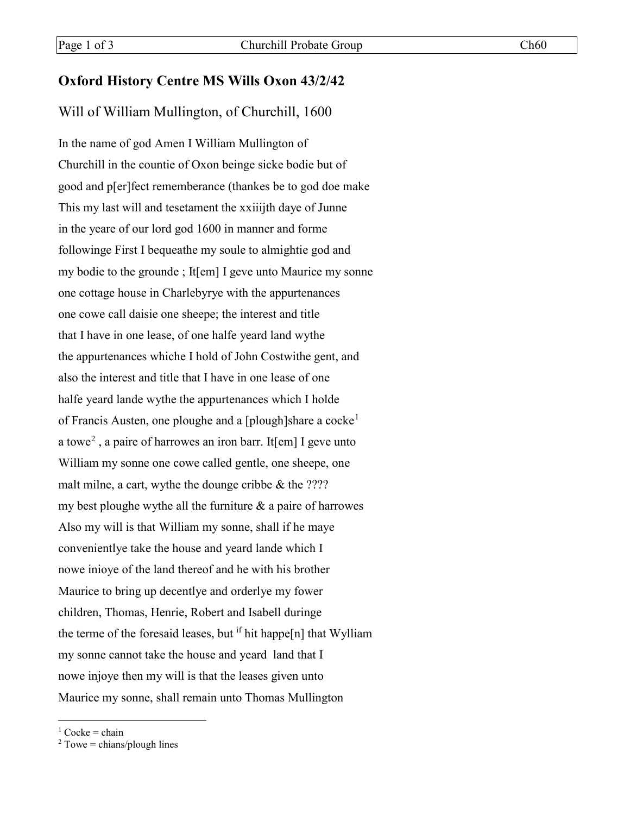## **Oxford History Centre MS Wills Oxon 43/2/42**

## Will of William Mullington, of Churchill, 1600

In the name of god Amen I William Mullington of Churchill in the countie of Oxon beinge sicke bodie but of good and p[er]fect rememberance (thankes be to god doe make This my last will and tesetament the xxiiijth daye of Junne in the yeare of our lord god 1600 in manner and forme followinge First I bequeathe my soule to almightie god and my bodie to the grounde ; It[em] I geve unto Maurice my sonne one cottage house in Charlebyrye with the appurtenances one cowe call daisie one sheepe; the interest and title that I have in one lease, of one halfe yeard land wythe the appurtenances whiche I hold of John Costwithe gent, and also the interest and title that I have in one lease of one halfe yeard lande wythe the appurtenances which I holde of Francis Austen, one ploughe and a [plough]share a cocke<sup>[1](#page-0-0)</sup> a towe<sup>[2](#page-0-1)</sup>, a paire of harrowes an iron barr. It[em] I geve unto William my sonne one cowe called gentle, one sheepe, one malt milne, a cart, wythe the dounge cribbe & the ???? my best ploughe wythe all the furniture  $\&$  a paire of harrowes Also my will is that William my sonne, shall if he maye convenientlye take the house and yeard lande which I nowe inioye of the land thereof and he with his brother Maurice to bring up decentlye and orderlye my fower children, Thomas, Henrie, Robert and Isabell duringe the terme of the foresaid leases, but  $\mathbf{f}$  if hit happe[n] that Wylliam my sonne cannot take the house and yeard land that I nowe injoye then my will is that the leases given unto Maurice my sonne, shall remain unto Thomas Mullington

<span id="page-0-0"></span> $1$  Cocke = chain

<span id="page-0-1"></span> $2$  Towe = chians/plough lines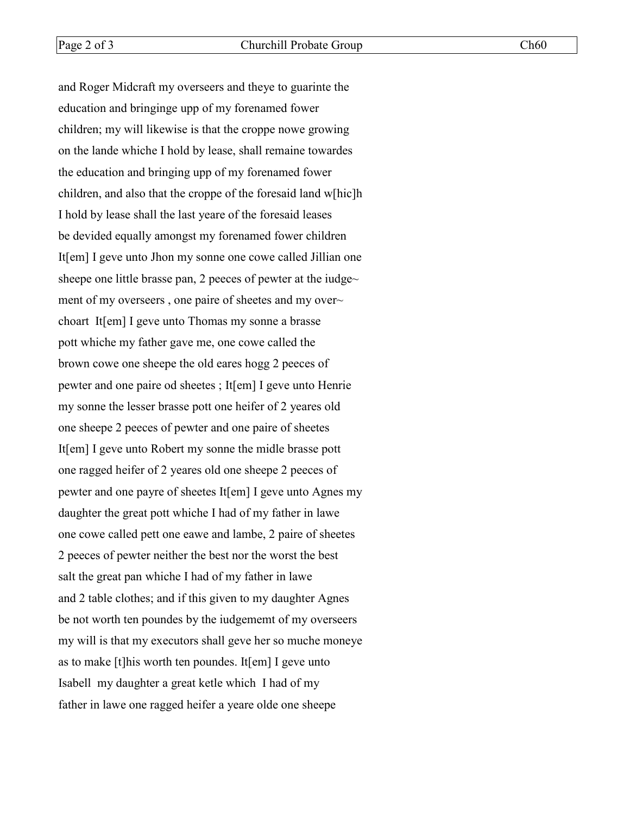and Roger Midcraft my overseers and theye to guarinte the education and bringinge upp of my forenamed fower children; my will likewise is that the croppe nowe growing on the lande whiche I hold by lease, shall remaine towardes the education and bringing upp of my forenamed fower children, and also that the croppe of the foresaid land w[hic]h I hold by lease shall the last yeare of the foresaid leases be devided equally amongst my forenamed fower children It[em] I geve unto Jhon my sonne one cowe called Jillian one sheepe one little brasse pan, 2 peeces of pewter at the iudge $\sim$ ment of my overseers, one paire of sheetes and my over~ choart It[em] I geve unto Thomas my sonne a brasse pott whiche my father gave me, one cowe called the brown cowe one sheepe the old eares hogg 2 peeces of pewter and one paire od sheetes ; It[em] I geve unto Henrie my sonne the lesser brasse pott one heifer of 2 yeares old one sheepe 2 peeces of pewter and one paire of sheetes It[em] I geve unto Robert my sonne the midle brasse pott one ragged heifer of 2 yeares old one sheepe 2 peeces of pewter and one payre of sheetes It[em] I geve unto Agnes my daughter the great pott whiche I had of my father in lawe one cowe called pett one eawe and lambe, 2 paire of sheetes 2 peeces of pewter neither the best nor the worst the best salt the great pan whiche I had of my father in lawe and 2 table clothes; and if this given to my daughter Agnes be not worth ten poundes by the iudgememt of my overseers my will is that my executors shall geve her so muche moneye as to make [t]his worth ten poundes. It[em] I geve unto Isabell my daughter a great ketle which I had of my father in lawe one ragged heifer a yeare olde one sheepe